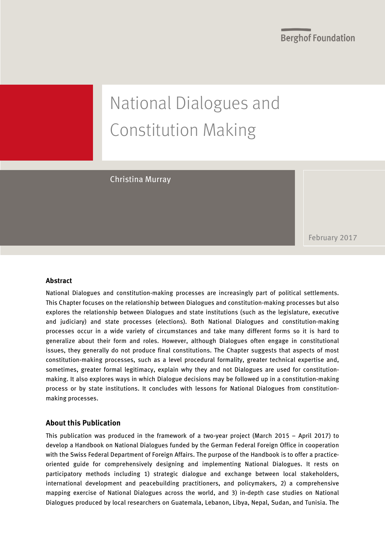**Berghof Foundation** 

# National Dialogues and Constitution Making

Christina Murray

February 2017

#### **Abstract**

National Dialogues and constitution-making processes are increasingly part of political settlements. This Chapter focuses on the relationship between Dialogues and constitution-making processes but also explores the relationship between Dialogues and state institutions (such as the legislature, executive and judiciary) and state processes (elections). Both National Dialogues and constitution-making processes occur in a wide variety of circumstances and take many different forms so it is hard to generalize about their form and roles. However, although Dialogues often engage in constitutional issues, they generally do not produce final constitutions. The Chapter suggests that aspects of most constitution-making processes, such as a level procedural formality, greater technical expertise and, sometimes, greater formal legitimacy, explain why they and not Dialogues are used for constitutionmaking. It also explores ways in which Dialogue decisions may be followed up in a constitution-making process or by state institutions. It concludes with lessons for National Dialogues from constitutionmaking processes.

#### **About this Publication**

This publication was produced in the framework of a two-year project (March 2015 – April 2017) to develop a Handbook on National Dialogues funded by the German Federal Foreign Office in cooperation with the Swiss Federal Department of Foreign Affairs. The purpose of the Handbook is to offer a practiceoriented guide for comprehensively designing and implementing National Dialogues. It rests on participatory methods including 1) strategic dialogue and exchange between local stakeholders, international development and peacebuilding practitioners, and policymakers, 2) a comprehensive mapping exercise of National Dialogues across the world, and 3) in-depth case studies on National Dialogues produced by local researchers on Guatemala, Lebanon, Libya, Nepal, Sudan, and Tunisia. The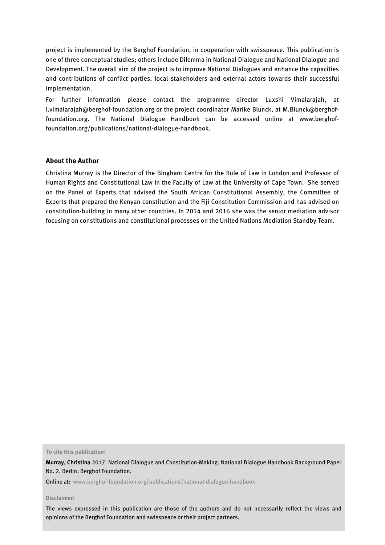project is implemented by the Berghof Foundation, in cooperation with swisspeace. This publication is one of three conceptual studies; others include Dilemma in National Dialogue and National Dialogue and Development. The overall aim of the project is to improve National Dialogues and enhance the capacities and contributions of conflict parties, local stakeholders and external actors towards their successful implementation.

For further information please contact the programme director Luxshi Vimalarajah, at l.vimalarajah@berghof-foundation.org or the project coordinator Marike Blunck, at M.Blunck@berghoffoundation.org. The National Dialogue Handbook can be accessed online at www.berghoffoundation.org/publications/national-dialogue-handbook.

#### **About the Author**

Christina Murray is the Director of the Bingham Centre for the Rule of Law in London and Professor of Human Rights and Constitutional Law in the Faculty of Law at the University of Cape Town. She served on the Panel of Experts that advised the South African Constitutional Assembly, the Committee of Experts that prepared the Kenyan constitution and the Fiji Constitution Commission and has advised on constitution-building in many other countries. In 2014 and 2016 she was the senior mediation advisor focusing on constitutions and constitutional processes on the United Nations Mediation Standby Team.

**To cite this publication:**

**Murray, Christina** 2017. National Dialogue and Constitution-Making. National Dialogue Handbook Background Paper No. 2. Berlin: Berghof Foundation.

Online at: [www.berghof-foundation.org/publications/national-dialogue-handbook](http://www.berghof-foundation.org/publications/national-dialogue-handbook)

**Disclaimer:**

2 The views expressed in this publication are those of the authors and do not necessarily reflect the views and opinions of the Berghof Foundation and swisspeace or their project partners.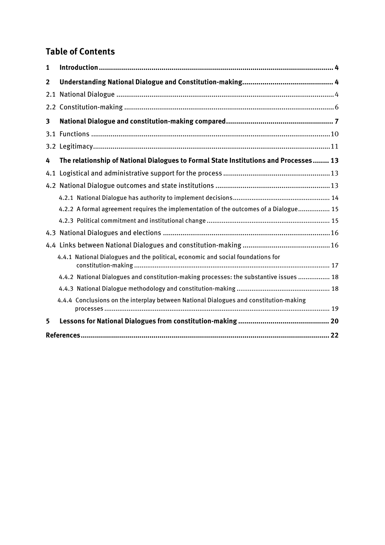### **Table of Contents**

| 1              |                                                                                        |  |  |
|----------------|----------------------------------------------------------------------------------------|--|--|
| $\overline{2}$ |                                                                                        |  |  |
| 2.1            |                                                                                        |  |  |
|                |                                                                                        |  |  |
| 3              |                                                                                        |  |  |
|                |                                                                                        |  |  |
|                |                                                                                        |  |  |
| 4              | The relationship of National Dialogues to Formal State Institutions and Processes 13   |  |  |
| 4.1            |                                                                                        |  |  |
|                |                                                                                        |  |  |
|                |                                                                                        |  |  |
|                | 4.2.2 A formal agreement requires the implementation of the outcomes of a Dialogue 15  |  |  |
|                |                                                                                        |  |  |
|                |                                                                                        |  |  |
|                |                                                                                        |  |  |
|                | 4.4.1 National Dialogues and the political, economic and social foundations for        |  |  |
|                | 4.4.2 National Dialogues and constitution-making processes: the substantive issues  18 |  |  |
|                |                                                                                        |  |  |
|                | 4.4.4 Conclusions on the interplay between National Dialogues and constitution-making  |  |  |
| 5              |                                                                                        |  |  |
|                |                                                                                        |  |  |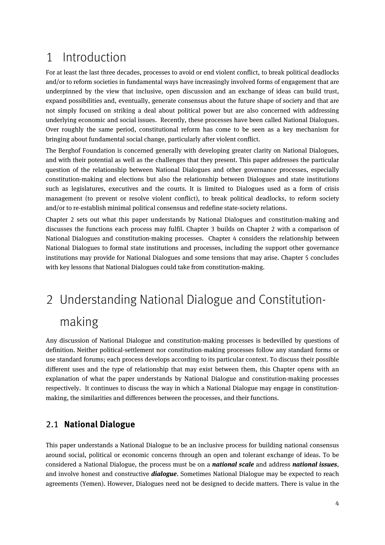## <span id="page-3-0"></span>1 Introduction

For at least the last three decades, processes to avoid or end violent conflict, to break political deadlocks and/or to reform societies in fundamental ways have increasingly involved forms of engagement that are underpinned by the view that inclusive, open discussion and an exchange of ideas can build trust, expand possibilities and, eventually, generate consensus about the future shape of society and that are not simply focused on striking a deal about political power but are also concerned with addressing underlying economic and social issues. Recently, these processes have been called National Dialogues. Over roughly the same period, constitutional reform has come to be seen as a key mechanism for bringing about fundamental social change, particularly after violent conflict.

The Berghof Foundation is concerned generally with developing greater clarity on National Dialogues, and with their potential as well as the challenges that they present. This paper addresses the particular question of the relationship between National Dialogues and other governance processes, especially constitution-making and elections but also the relationship between Dialogues and state institutions such as legislatures, executives and the courts. It is limited to Dialogues used as a form of crisis management (to prevent or resolve violent conflict), to break political deadlocks, to reform society and/or to re-establish minimal political consensus and redefine state-society relations.

Chapter 2 sets out what this paper understands by National Dialogues and constitution-making and discusses the functions each process may fulfil. Chapter 3 builds on Chapter 2 with a comparison of National Dialogues and constitution-making processes. Chapter 4 considers the relationship between National Dialogues to formal state institutions and processes, including the support other governance institutions may provide for National Dialogues and some tensions that may arise. Chapter 5 concludes with key lessons that National Dialogues could take from constitution-making.

## <span id="page-3-1"></span>2 Understanding National Dialogue and Constitutionmaking

Any discussion of National Dialogue and constitution-making processes is bedevilled by questions of definition. Neither political-settlement nor constitution-making processes follow any standard forms or use standard forums; each process develops according to its particular context. To discuss their possible different uses and the type of relationship that may exist between them, this Chapter opens with an explanation of what the paper understands by National Dialogue and constitution-making processes respectively. It continues to discuss the way in which a National Dialogue may engage in constitutionmaking, the similarities and differences between the processes, and their functions.

#### <span id="page-3-2"></span>2.1 **National Dialogue**

This paper understands a National Dialogue to be an inclusive process for building national consensus around social, political or economic concerns through an open and tolerant exchange of ideas. To be considered a National Dialogue, the process must be on a *national scale* and address *national issues*, and involve honest and constructive *dialogue*. Sometimes National Dialogue may be expected to reach agreements (Yemen). However, Dialogues need not be designed to decide matters. There is value in the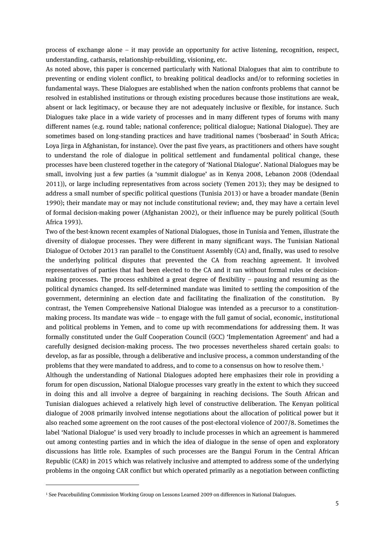process of exchange alone – it may provide an opportunity for active listening, recognition, respect, understanding, catharsis, relationship-rebuilding, visioning, etc.

As noted above, this paper is concerned particularly with National Dialogues that aim to contribute to preventing or ending violent conflict, to breaking political deadlocks and/or to reforming societies in fundamental ways. These Dialogues are established when the nation confronts problems that cannot be resolved in established institutions or through existing procedures because those institutions are weak, absent or lack legitimacy, or because they are not adequately inclusive or flexible, for instance. Such Dialogues take place in a wide variety of processes and in many different types of forums with many different names (e.g. round table; national conference; political dialogue; National Dialogue). They are sometimes based on long-standing practices and have traditional names ('bosberaad' in South Africa; Loya Jirga in Afghanistan, for instance). Over the past five years, as practitioners and others have sought to understand the role of dialogue in political settlement and fundamental political change, these processes have been clustered together in the category of 'National Dialogue'. National Dialogues may be small, involving just a few parties (a 'summit dialogue' as in Kenya 2008, Lebanon 2008 (Odendaal 2011)), or large including representatives from across society (Yemen 2013); they may be designed to address a small number of specific political questions (Tunisia 2013) or have a broader mandate (Benin 1990); their mandate may or may not include constitutional review; and, they may have a certain level of formal decision-making power (Afghanistan 2002), or their influence may be purely political (South Africa 1993).

Two of the best-known recent examples of National Dialogues, those in Tunisia and Yemen, illustrate the diversity of dialogue processes. They were different in many significant ways. The Tunisian National Dialogue of October 2013 ran parallel to the Constituent Assembly (CA) and, finally, was used to resolve the underlying political disputes that prevented the CA from reaching agreement. It involved representatives of parties that had been elected to the CA and it ran without formal rules or decisionmaking processes. The process exhibited a great degree of flexibility – pausing and resuming as the political dynamics changed. Its self-determined mandate was limited to settling the composition of the government, determining an election date and facilitating the finalization of the constitution. By contrast, the Yemen Comprehensive National Dialogue was intended as a precursor to a constitutionmaking process. Its mandate was wide – to engage with the full gamut of social, economic, institutional and political problems in Yemen, and to come up with recommendations for addressing them. It was formally constituted under the Gulf Cooperation Council (GCC) 'Implementation Agreement' and had a carefully designed decision-making process. The two processes nevertheless shared certain goals: to develop, as far as possible, through a deliberative and inclusive process, a common understanding of the problems that they were mandated to address, and to come to a consensus on how to resolve them.[1](#page-4-0)

Although the understanding of National Dialogues adopted here emphasizes their role in providing a forum for open discussion, National Dialogue processes vary greatly in the extent to which they succeed in doing this and all involve a degree of bargaining in reaching decisions. The South African and Tunisian dialogues achieved a relatively high level of constructive deliberation. The Kenyan political dialogue of 2008 primarily involved intense negotiations about the allocation of political power but it also reached some agreement on the root causes of the post-electoral violence of 2007/8. Sometimes the label 'National Dialogue' is used very broadly to include processes in which an agreement is hammered out among contesting parties and in which the idea of dialogue in the sense of open and exploratory discussions has little role. Examples of such processes are the Bangui Forum in the Central African Republic (CAR) in 2015 which was relatively inclusive and attempted to address some of the underlying problems in the ongoing CAR conflict but which operated primarily as a negotiation between conflicting

<span id="page-4-0"></span><sup>1</sup> See Peacebuilding Commission Working Group on Lessons Learned 2009 on differences in National Dialogues.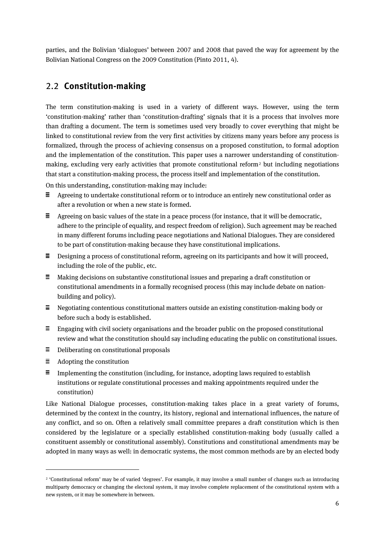parties, and the Bolivian 'dialogues' between 2007 and 2008 that paved the way for agreement by the Bolivian National Congress on the 2009 Constitution (Pinto 2011, 4).

#### <span id="page-5-0"></span>2.2 **Constitution-making**

The term constitution-making is used in a variety of different ways. However, using the term 'constitution-making' rather than 'constitution-drafting' signals that it is a process that involves more than drafting a document. The term is sometimes used very broadly to cover everything that might be linked to constitutional review from the very first activities by citizens many years before any process is formalized, through the process of achieving consensus on a proposed constitution, to formal adoption and the implementation of the constitution. This paper uses a narrower understanding of constitution-making, excluding very early activities that promote constitutional reform<sup>[2](#page-5-1)</sup> but including negotiations that start a constitution-making process, the process itself and implementation of the constitution.

On this understanding, constitution-making may include:

- $\equiv$  Agreeing to undertake constitutional reform or to introduce an entirely new constitutional order as after a revolution or when a new state is formed.
- $\equiv$  Agreeing on basic values of the state in a peace process (for instance, that it will be democratic, adhere to the principle of equality, and respect freedom of religion). Such agreement may be reached in many different forums including peace negotiations and National Dialogues. They are considered to be part of constitution-making because they have constitutional implications.
- $\equiv$  Designing a process of constitutional reform, agreeing on its participants and how it will proceed, including the role of the public, etc.
- $\equiv$  Making decisions on substantive constitutional issues and preparing a draft constitution or constitutional amendments in a formally recognised process (this may include debate on nationbuilding and policy).
- $\equiv$  Negotiating contentious constitutional matters outside an existing constitution-making body or before such a body is established.
- $\equiv$  Engaging with civil society organisations and the broader public on the proposed constitutional review and what the constitution should say including educating the public on constitutional issues.
- $\equiv$  Deliberating on constitutional proposals
- $\equiv$  Adopting the constitution

 $\overline{a}$ 

 $\equiv$  Implementing the constitution (including, for instance, adopting laws required to establish institutions or regulate constitutional processes and making appointments required under the constitution)

Like National Dialogue processes, constitution-making takes place in a great variety of forums, determined by the context in the country, its history, regional and international influences, the nature of any conflict, and so on. Often a relatively small committee prepares a draft constitution which is then considered by the legislature or a specially established constitution-making body (usually called a constituent assembly or constitutional assembly). Constitutions and constitutional amendments may be adopted in many ways as well: in democratic systems, the most common methods are by an elected body

<span id="page-5-1"></span><sup>2</sup> 'Constitutional reform' may be of varied 'degrees'. For example, it may involve a small number of changes such as introducing multiparty democracy or changing the electoral system, it may involve complete replacement of the constitutional system with a new system, or it may be somewhere in between.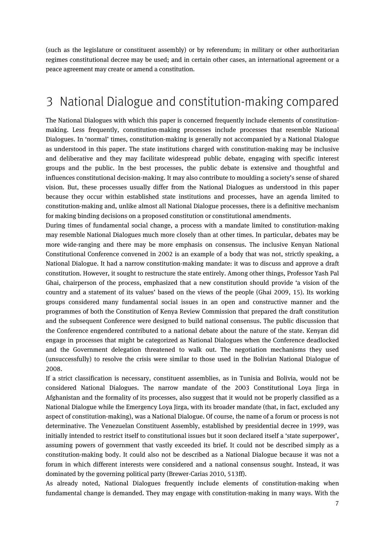(such as the legislature or constituent assembly) or by referendum; in military or other authoritarian regimes constitutional decree may be used; and in certain other cases, an international agreement or a peace agreement may create or amend a constitution.

### <span id="page-6-0"></span>3 National Dialogue and constitution-making compared

The National Dialogues with which this paper is concerned frequently include elements of constitutionmaking. Less frequently, constitution-making processes include processes that resemble National Dialogues. In 'normal' times, constitution-making is generally not accompanied by a National Dialogue as understood in this paper. The state institutions charged with constitution-making may be inclusive and deliberative and they may facilitate widespread public debate, engaging with specific interest groups and the public. In the best processes, the public debate is extensive and thoughtful and influences constitutional decision-making. It may also contribute to moulding a society's sense of shared vision. But, these processes usually differ from the National Dialogues as understood in this paper because they occur within established state institutions and processes, have an agenda limited to constitution-making and, unlike almost all National Dialogue processes, there is a definitive mechanism for making binding decisions on a proposed constitution or constitutional amendments.

During times of fundamental social change, a process with a mandate limited to constitution-making may resemble National Dialogues much more closely than at other times. In particular, debates may be more wide-ranging and there may be more emphasis on consensus. The inclusive Kenyan National Constitutional Conference convened in 2002 is an example of a body that was not, strictly speaking, a National Dialogue. It had a narrow constitution-making mandate: it was to discuss and approve a draft constitution. However, it sought to restructure the state entirely. Among other things, Professor Yash Pal Ghai, chairperson of the process, emphasized that a new constitution should provide 'a vision of the country and a statement of its values' based on the views of the people (Ghai 2009, 15). Its working groups considered many fundamental social issues in an open and constructive manner and the programmes of both the Constitution of Kenya Review Commission that prepared the draft constitution and the subsequent Conference were designed to build national consensus. The public discussion that the Conference engendered contributed to a national debate about the nature of the state. Kenyan did engage in processes that might be categorized as National Dialogues when the Conference deadlocked and the Government delegation threatened to walk out. The negotiation mechanisms they used (unsuccessfully) to resolve the crisis were similar to those used in the Bolivian National Dialogue of 2008.

If a strict classification is necessary, constituent assemblies, as in Tunisia and Bolivia, would not be considered National Dialogues. The narrow mandate of the 2003 Constitutional Loya Jirga in Afghanistan and the formality of its processes, also suggest that it would not be properly classified as a National Dialogue while the Emergency Loya Jirga, with its broader mandate (that, in fact, excluded any aspect of constitution-making), was a National Dialogue. Of course, the name of a forum or process is not determinative. The Venezuelan Constituent Assembly, established by presidential decree in 1999, was initially intended to restrict itself to constitutional issues but it soon declared itself a 'state superpower', assuming powers of government that vastly exceeded its brief. It could not be described simply as a constitution-making body. It could also not be described as a National Dialogue because it was not a forum in which different interests were considered and a national consensus sought. Instead, it was dominated by the governing political party (Brewer-Carias 2010, 513ff).

As already noted, National Dialogues frequently include elements of constitution-making when fundamental change is demanded. They may engage with constitution-making in many ways. With the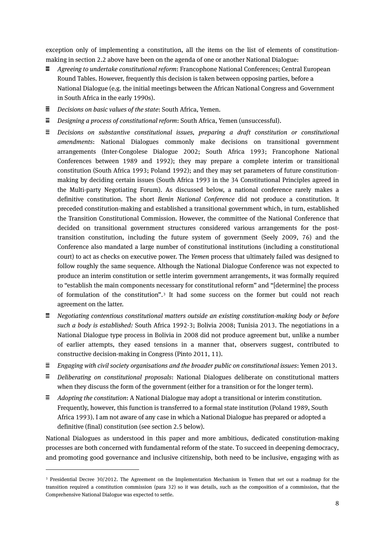exception only of implementing a constitution, all the items on the list of elements of constitutionmaking in section 2.2 above have been on the agenda of one or another National Dialogue:

- *Agreeing to undertake constitutional reform*: Francophone National Conferences; Central European Round Tables. However, frequently this decision is taken between opposing parties, before a National Dialogue (e.g. the initial meetings between the African National Congress and Government in South Africa in the early 1990s).
- *Decisions on basic values of the state*: South Africa, Yemen.
- *Designing a process of constitutional reform*: South Africa, Yemen (unsuccessful).
- *Decisions on substantive constitutional issues, preparing a draft constitution or constitutional amendments*: National Dialogues commonly make decisions on transitional government arrangements (Inter-Congolese Dialogue 2002; South Africa 1993; Francophone National Conferences between 1989 and 1992); they may prepare a complete interim or transitional constitution (South Africa 1993; Poland 1992); and they may set parameters of future constitutionmaking by deciding certain issues (South Africa 1993 in the 34 Constitutional Principles agreed in the Multi-party Negotiating Forum). As discussed below, a national conference rarely makes a definitive constitution. The short *Benin National Conference* did not produce a constitution. It preceded constitution-making and established a transitional government which, in turn, established the Transition Constitutional Commission. However, the committee of the National Conference that decided on transitional government structures considered various arrangements for the posttransition constitution, including the future system of government (Seely 2009, 76) and the Conference also mandated a large number of constitutional institutions (including a constitutional court) to act as checks on executive power. The *Yemen* process that ultimately failed was designed to follow roughly the same sequence. Although the National Dialogue Conference was not expected to produce an interim constitution or settle interim government arrangements, it was formally required to "establish the main components necessary for constitutional reform" and "[determine] the process of formulation of the constitution".[3](#page-7-0) It had some success on the former but could not reach agreement on the latter.
- *Negotiating contentious constitutional matters outside an existing constitution-making body or before such a body is established:* South Africa 1992-3; Bolivia 2008; Tunisia 2013. The negotiations in a National Dialogue type process in Bolivia in 2008 did not produce agreement but, unlike a number of earlier attempts, they eased tensions in a manner that, observers suggest, contributed to constructive decision-making in Congress (Pinto 2011, 11).
- *Engaging with civil society organisations and the broader public on constitutional issues*: Yemen 2013.
- *Deliberating on constitutional proposals*: National Dialogues deliberate on constitutional matters when they discuss the form of the government (either for a transition or for the longer term).
- *Adopting the constitution*: A National Dialogue may adopt a transitional or interim constitution. Frequently, however, this function is transferred to a formal state institution (Poland 1989, South Africa 1993). I am not aware of any case in which a National Dialogue has prepared or adopted a definitive (final) constitution (see section 2.5 below).

National Dialogues as understood in this paper and more ambitious, dedicated constitution-making processes are both concerned with fundamental reform of the state. To succeed in deepening democracy, and promoting good governance and inclusive citizenship, both need to be inclusive, engaging with as

<span id="page-7-0"></span><sup>3</sup> Presidential Decree 30/2012. The Agreement on the Implementation Mechanism in Yemen that set out a roadmap for the transition required a constitution commission (para 32) so it was details, such as the composition of a commission, that the Comprehensive National Dialogue was expected to settle.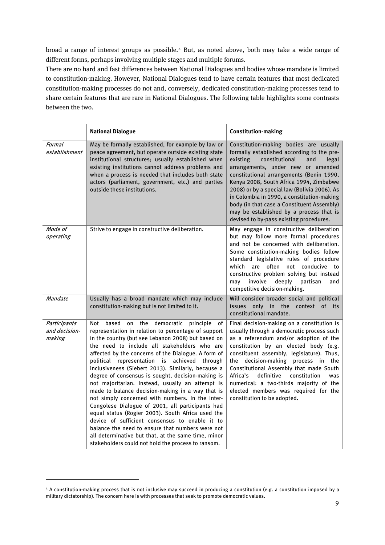broad a range of interest groups as possible.[4](#page-8-0) But, as noted above, both may take a wide range of different forms, perhaps involving multiple stages and multiple forums.

There are no hard and fast differences between National Dialogues and bodies whose mandate is limited to constitution-making. However, National Dialogues tend to have certain features that most dedicated constitution-making processes do not and, conversely, dedicated constitution-making processes tend to share certain features that are rare in National Dialogues. The following table highlights some contrasts between the two.

|                                         | <b>National Dialogue</b>                                                                                                                                                                                                                                                                                                                                                                                                                                                                                                                                                                                                                                                                                                                                                                                                                                                                                                          | <b>Constitution-making</b>                                                                                                                                                                                                                                                                                                                                                                                                                                                                        |
|-----------------------------------------|-----------------------------------------------------------------------------------------------------------------------------------------------------------------------------------------------------------------------------------------------------------------------------------------------------------------------------------------------------------------------------------------------------------------------------------------------------------------------------------------------------------------------------------------------------------------------------------------------------------------------------------------------------------------------------------------------------------------------------------------------------------------------------------------------------------------------------------------------------------------------------------------------------------------------------------|---------------------------------------------------------------------------------------------------------------------------------------------------------------------------------------------------------------------------------------------------------------------------------------------------------------------------------------------------------------------------------------------------------------------------------------------------------------------------------------------------|
| Formal<br>establishment                 | May be formally established, for example by law or<br>peace agreement, but operate outside existing state<br>institutional structures; usually established when<br>existing institutions cannot address problems and<br>when a process is needed that includes both state<br>actors (parliament, government, etc.) and parties<br>outside these institutions.                                                                                                                                                                                                                                                                                                                                                                                                                                                                                                                                                                     | Constitution-making bodies are usually<br>formally established according to the pre-<br>existing<br>constitutional<br>and<br>legal<br>arrangements, under new or amended<br>constitutional arrangements (Benin 1990,<br>Kenya 2008, South Africa 1994, Zimbabwe<br>2008) or by a special law (Bolivia 2006). As<br>in Colombia in 1990, a constitution-making<br>body (in that case a Constituent Assembly)<br>may be established by a process that is<br>devised to by-pass existing procedures. |
| Mode of<br>operating                    | Strive to engage in constructive deliberation.                                                                                                                                                                                                                                                                                                                                                                                                                                                                                                                                                                                                                                                                                                                                                                                                                                                                                    | May engage in constructive deliberation<br>but may follow more formal procedures<br>and not be concerned with deliberation.<br>Some constitution-making bodies follow<br>standard legislative rules of procedure<br>which are often not conducive<br>to<br>constructive problem solving but instead<br>involve<br>deeply<br>partisan<br>may<br>and<br>competitive decision-making.                                                                                                                |
| Mandate                                 | Usually has a broad mandate which may include<br>constitution-making but is not limited to it.                                                                                                                                                                                                                                                                                                                                                                                                                                                                                                                                                                                                                                                                                                                                                                                                                                    | Will consider broader social and political<br>the<br>of<br>issues only<br>$\mathsf{in}$<br>context<br>its<br>constitutional mandate.                                                                                                                                                                                                                                                                                                                                                              |
| Participants<br>and decision-<br>making | the<br>democratic<br>principle<br>Not<br>based<br>on<br>оf<br>representation in relation to percentage of support<br>in the country (but see Lebanon 2008) but based on<br>the need to include all stakeholders who are<br>affected by the concerns of the Dialogue. A form of<br>political representation is achieved through<br>inclusiveness (Siebert 2013). Similarly, because a<br>degree of consensus is sought, decision-making is<br>not majoritarian. Instead, usually an attempt is<br>made to balance decision-making in a way that is<br>not simply concerned with numbers. In the Inter-<br>Congolese Dialogue of 2001, all participants had<br>equal status (Rogier 2003). South Africa used the<br>device of sufficient consensus to enable it to<br>balance the need to ensure that numbers were not<br>all determinative but that, at the same time, minor<br>stakeholders could not hold the process to ransom. | Final decision-making on a constitution is<br>usually through a democratic process such<br>as a referendum and/or adoption of the<br>constitution by an elected body (e.g.<br>constituent assembly, legislature). Thus,<br>the decision-making process in the<br>Constitutional Assembly that made South<br>Africa's<br>definitive<br>constitution<br>was<br>numerical: a two-thirds majority of the<br>elected members was required for the<br>constitution to be adopted.                       |

<span id="page-8-0"></span><sup>4</sup> A constitution-making process that is not inclusive may succeed in producing a constitution (e.g. a constitution imposed by a military dictatorship). The concern here is with processes that seek to promote democratic values.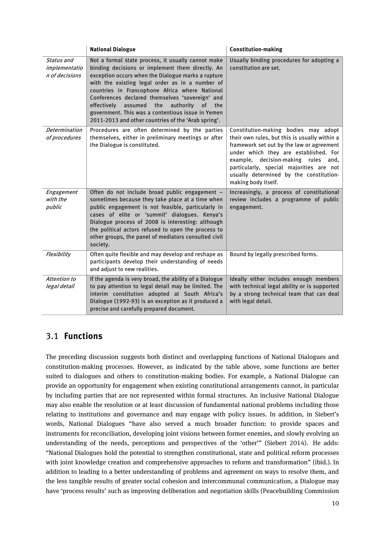|                                               | <b>National Dialogue</b>                                                                                                                                                                                                                                                                                                                                                                                                                                                                            | <b>Constitution-making</b>                                                                                                                                                                                                                                                                                                       |
|-----------------------------------------------|-----------------------------------------------------------------------------------------------------------------------------------------------------------------------------------------------------------------------------------------------------------------------------------------------------------------------------------------------------------------------------------------------------------------------------------------------------------------------------------------------------|----------------------------------------------------------------------------------------------------------------------------------------------------------------------------------------------------------------------------------------------------------------------------------------------------------------------------------|
| Status and<br>implementatio<br>n of decisions | Not a formal state process, it usually cannot make<br>binding decisions or implement them directly. An<br>exception occurs when the Dialogue marks a rupture<br>with the existing legal order as in a number of<br>countries in Francophone Africa where National<br>Conferences declared themselves 'sovereign' and<br>assumed the<br>authority<br>effectively<br><sub>of</sub><br>the<br>government. This was a contentious issue in Yemen<br>2011-2013 and other countries of the 'Arab spring'. | Usually binding procedures for adopting a<br>constitution are set.                                                                                                                                                                                                                                                               |
| <b>Determination</b><br>of procedures         | Procedures are often determined by the parties<br>themselves, either in preliminary meetings or after<br>the Dialogue is constituted.                                                                                                                                                                                                                                                                                                                                                               | Constitution-making bodies may adopt<br>their own rules, but this is usually within a<br>framework set out by the law or agreement<br>under which they are established. For<br>example, decision-making rules and,<br>particularly, special majorities are not<br>usually determined by the constitution-<br>making body itself. |
| Engagement<br>with the<br>public              | Often do not include broad public engagement -<br>sometimes because they take place at a time when<br>public engagement is not feasible, particularly in<br>cases of elite or 'summit' dialogues. Kenya's<br>Dialogue process of 2008 is interesting: although<br>the political actors refused to open the process to<br>other groups, the panel of mediators consulted civil<br>society.                                                                                                           | Increasingly, a process of constitutional<br>review includes a programme of public<br>engagement.                                                                                                                                                                                                                                |
| Flexibility                                   | Often quite flexible and may develop and reshape as<br>participants develop their understanding of needs<br>and adjust to new realities.                                                                                                                                                                                                                                                                                                                                                            | Bound by legally prescribed forms.                                                                                                                                                                                                                                                                                               |
| Attention to<br>legal detail                  | If the agenda is very broad, the ability of a Dialogue<br>to pay attention to legal detail may be limited. The<br>interim constitution adopted at South Africa's<br>Dialogue (1992-93) is an exception as it produced a<br>precise and carefully prepared document.                                                                                                                                                                                                                                 | Ideally either includes enough members<br>with technical legal ability or is supported<br>by a strong technical team that can deal<br>with legal detail.                                                                                                                                                                         |

#### <span id="page-9-0"></span>3.1 **Functions**

The preceding discussion suggests both distinct and overlapping functions of National Dialogues and constitution-making processes. However, as indicated by the table above, some functions are better suited to dialogues and others to constitution-making bodies. For example, a National Dialogue can provide an opportunity for engagement when existing constitutional arrangements cannot, in particular by including parties that are not represented within formal structures. An inclusive National Dialogue may also enable the resolution or at least discussion of fundamental national problems including those relating to institutions and governance and may engage with policy issues. In addition, in Siebert's words, National Dialogues "have also served a much broader function: to provide spaces and instruments for reconciliation, developing joint visions between former enemies, and slowly evolving an understanding of the needs, perceptions and perspectives of the 'other'" (Siebert 2014). He adds: "National Dialogues hold the potential to strengthen constitutional, state and political reform processes with joint knowledge creation and comprehensive approaches to reform and transformation" (ibid.). In addition to leading to a better understanding of problems and agreement on ways to resolve them, and the less tangible results of greater social cohesion and intercommunal communication, a Dialogue may have 'process results' such as improving deliberation and negotiation skills (Peacebuilding Commission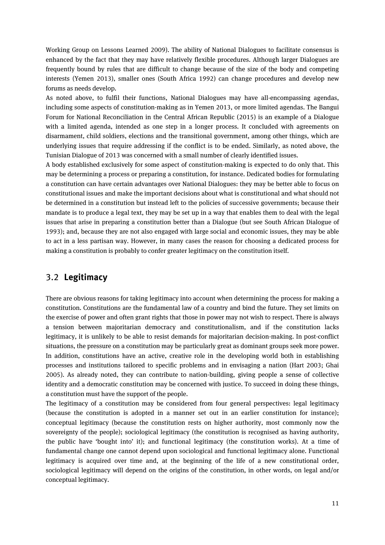Working Group on Lessons Learned 2009). The ability of National Dialogues to facilitate consensus is enhanced by the fact that they may have relatively flexible procedures. Although larger Dialogues are frequently bound by rules that are difficult to change because of the size of the body and competing interests (Yemen 2013), smaller ones (South Africa 1992) can change procedures and develop new forums as needs develop.

As noted above, to fulfil their functions, National Dialogues may have all-encompassing agendas, including some aspects of constitution-making as in Yemen 2013, or more limited agendas. The Bangui Forum for National Reconciliation in the Central African Republic (2015) is an example of a Dialogue with a limited agenda, intended as one step in a longer process. It concluded with agreements on disarmament, child soldiers, elections and the transitional government, among other things, which are underlying issues that require addressing if the conflict is to be ended. Similarly, as noted above, the Tunisian Dialogue of 2013 was concerned with a small number of clearly identified issues.

A body established exclusively for some aspect of constitution-making is expected to do only that. This may be determining a process or preparing a constitution, for instance. Dedicated bodies for formulating a constitution can have certain advantages over National Dialogues: they may be better able to focus on constitutional issues and make the important decisions about what is constitutional and what should not be determined in a constitution but instead left to the policies of successive governments; because their mandate is to produce a legal text, they may be set up in a way that enables them to deal with the legal issues that arise in preparing a constitution better than a Dialogue (but see South African Dialogue of 1993); and, because they are not also engaged with large social and economic issues, they may be able to act in a less partisan way. However, in many cases the reason for choosing a dedicated process for making a constitution is probably to confer greater legitimacy on the constitution itself.

#### <span id="page-10-0"></span>3.2 **Legitimacy**

There are obvious reasons for taking legitimacy into account when determining the process for making a constitution. Constitutions are the fundamental law of a country and bind the future. They set limits on the exercise of power and often grant rights that those in power may not wish to respect. There is always a tension between majoritarian democracy and constitutionalism, and if the constitution lacks legitimacy, it is unlikely to be able to resist demands for majoritarian decision-making. In post-conflict situations, the pressure on a constitution may be particularly great as dominant groups seek more power. In addition, constitutions have an active, creative role in the developing world both in establishing processes and institutions tailored to specific problems and in envisaging a nation (Hart 2003; Ghai 2005). As already noted, they can contribute to nation-building, giving people a sense of collective identity and a democratic constitution may be concerned with justice. To succeed in doing these things, a constitution must have the support of the people.

The legitimacy of a constitution may be considered from four general perspectives: legal legitimacy (because the constitution is adopted in a manner set out in an earlier constitution for instance); conceptual legitimacy (because the constitution rests on higher authority, most commonly now the sovereignty of the people); sociological legitimacy (the constitution is recognised as having authority, the public have 'bought into' it); and functional legitimacy (the constitution works). At a time of fundamental change one cannot depend upon sociological and functional legitimacy alone. Functional legitimacy is acquired over time and, at the beginning of the life of a new constitutional order, sociological legitimacy will depend on the origins of the constitution, in other words, on legal and/or conceptual legitimacy.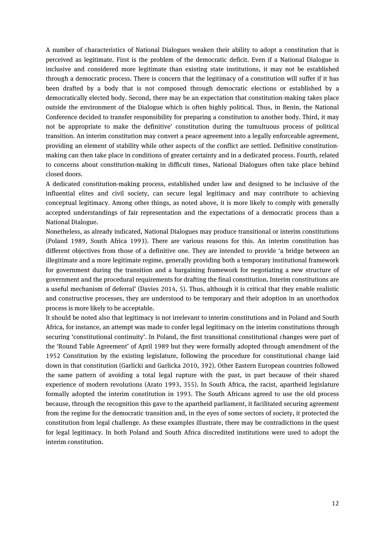A number of characteristics of National Dialogues weaken their ability to adopt a constitution that is perceived as legitimate. First is the problem of the democratic deficit. Even if a National Dialogue is inclusive and considered more legitimate than existing state institutions, it may not be established through a democratic process. There is concern that the legitimacy of a constitution will suffer if it has been drafted by a body that is not composed through democratic elections or established by a democratically elected body. Second, there may be an expectation that constitution-making takes place outside the environment of the Dialogue which is often highly political. Thus, in Benin, the National Conference decided to transfer responsibility for preparing a constitution to another body. Third, it may not be appropriate to make the definitive' constitution during the tumultuous process of political transition. An interim constitution may convert a peace agreement into a legally enforceable agreement, providing an element of stability while other aspects of the conflict are settled. Definitive constitutionmaking can then take place in conditions of greater certainty and in a dedicated process. Fourth, related to concerns about constitution-making in difficult times, National Dialogues often take place behind closed doors.

A dedicated constitution-making process, established under law and designed to be inclusive of the influential elites and civil society, can secure legal legitimacy and may contribute to achieving conceptual legitimacy. Among other things, as noted above, it is more likely to comply with generally accepted understandings of fair representation and the expectations of a democratic process than a National Dialogue.

Nonetheless, as already indicated, National Dialogues may produce transitional or interim constitutions (Poland 1989, South Africa 1993). There are various reasons for this. An interim constitution has different objectives from those of a definitive one. They are intended to provide 'a bridge between an illegitimate and a more legitimate regime, generally providing both a temporary institutional framework for government during the transition and a bargaining framework for negotiating a new structure of government and the procedural requirements for drafting the final constitution. Interim constitutions are a useful mechanism of deferral' (Davies 2014, 5). Thus, although it is critical that they enable realistic and constructive processes, they are understood to be temporary and their adoption in an unorthodox process is more likely to be acceptable.

It should be noted also that legitimacy is not irrelevant to interim constitutions and in Poland and South Africa, for instance, an attempt was made to confer legal legitimacy on the interim constitutions through securing 'constitutional continuity'. In Poland, the first transitional constitutional changes were part of the 'Round Table Agreement' of April 1989 but they were formally adopted through amendment of the 1952 Constitution by the existing legislature, following the procedure for constitutional change laid down in that constitution (Garlicki and Garlicka 2010, 392). Other Eastern European countries followed the same pattern of avoiding a total legal rupture with the past, in part because of their shared experience of modern revolutions (Arato 1993, 355). In South Africa, the racist, apartheid legislature formally adopted the interim constitution in 1993. The South Africans agreed to use the old process because, through the recognition this gave to the apartheid parliament, it facilitated securing agreement from the regime for the democratic transition and, in the eyes of some sectors of society, it protected the constitution from legal challenge. As these examples illustrate, there may be contradictions in the quest for legal legitimacy. In both Poland and South Africa discredited institutions were used to adopt the interim constitution.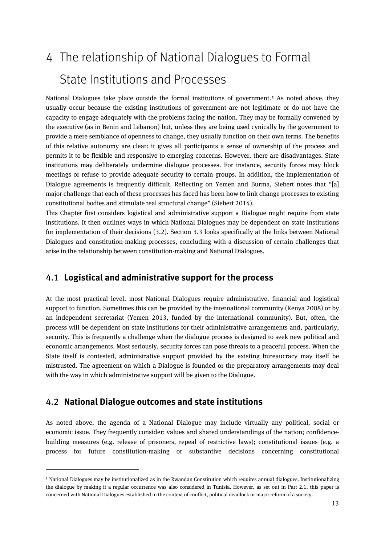## <span id="page-12-0"></span>4 The relationship of National Dialogues to Formal State Institutions and Processes

National Dialogues take place outside the formal institutions of government.<sup>[5](#page-12-3)</sup> As noted above, they usually occur because the existing institutions of government are not legitimate or do not have the capacity to engage adequately with the problems facing the nation. They may be formally convened by the executive (as in Benin and Lebanon) but, unless they are being used cynically by the government to provide a mere semblance of openness to change, they usually function on their own terms. The benefits of this relative autonomy are clear: it gives all participants a sense of ownership of the process and permits it to be flexible and responsive to emerging concerns. However, there are disadvantages. State institutions may deliberately undermine dialogue processes. For instance, security forces may block meetings or refuse to provide adequate security to certain groups. In addition, the implementation of Dialogue agreements is frequently difficult. Reflecting on Yemen and Burma, Siebert notes that "[a] major challenge that each of these processes has faced has been how to link change processes to existing constitutional bodies and stimulate real structural change" (Siebert 2014).

This Chapter first considers logistical and administrative support a Dialogue might require from state institutions. It then outlines ways in which National Dialogues may be dependent on state institutions for implementation of their decisions (3.2). Section 3.3 looks specifically at the links between National Dialogues and constitution-making processes, concluding with a discussion of certain challenges that arise in the relationship between constitution-making and National Dialogues.

#### <span id="page-12-1"></span>4.1 **Logistical and administrative support for the process**

At the most practical level, most National Dialogues require administrative, financial and logistical support to function. Sometimes this can be provided by the international community (Kenya 2008) or by an independent secretariat (Yemen 2013, funded by the international community). But, often, the process will be dependent on state institutions for their administrative arrangements and, particularly, security. This is frequently a challenge when the dialogue process is designed to seek new political and economic arrangements. Most seriously, security forces can pose threats to a peaceful process. When the State itself is contested, administrative support provided by the existing bureaucracy may itself be mistrusted. The agreement on which a Dialogue is founded or the preparatory arrangements may deal with the way in which administrative support will be given to the Dialogue.

#### <span id="page-12-2"></span>4.2 **National Dialogue outcomes and state institutions**

 $\overline{a}$ 

As noted above, the agenda of a National Dialogue may include virtually any political, social or economic issue. They frequently consider: values and shared understandings of the nation; confidencebuilding measures (e.g. release of prisoners, repeal of restrictive laws); constitutional issues (e.g. a process for future constitution-making or substantive decisions concerning constitutional

<span id="page-12-3"></span><sup>5</sup> National Dialogues may be institutionalized as in the Rwandan Constitution which requires annual dialogues. Institutionalizing the dialogue by making it a regular occurrence was also considered in Tunisia. However, as set out in Part 2.1, this paper is concerned with National Dialogues established in the context of conflict, political deadlock or major reform of a society.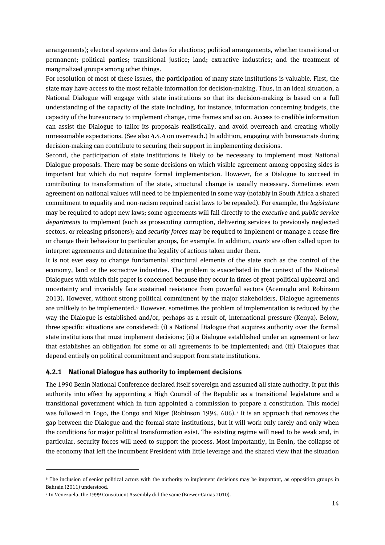arrangements); electoral systems and dates for elections; political arrangements, whether transitional or permanent; political parties; transitional justice; land; extractive industries; and the treatment of marginalized groups among other things.

For resolution of most of these issues, the participation of many state institutions is valuable. First, the state may have access to the most reliable information for decision-making. Thus, in an ideal situation, a National Dialogue will engage with state institutions so that its decision-making is based on a full understanding of the capacity of the state including, for instance, information concerning budgets, the capacity of the bureaucracy to implement change, time frames and so on. Access to credible information can assist the Dialogue to tailor its proposals realistically, and avoid overreach and creating wholly unreasonable expectations. (See also 4.4.4 on overreach.) In addition, engaging with bureaucrats during decision-making can contribute to securing their support in implementing decisions.

Second, the participation of state institutions is likely to be necessary to implement most National Dialogue proposals. There may be some decisions on which visible agreement among opposing sides is important but which do not require formal implementation. However, for a Dialogue to succeed in contributing to transformation of the state, structural change is usually necessary. Sometimes even agreement on national values will need to be implemented in some way (notably in South Africa a shared commitment to equality and non-racism required racist laws to be repealed). For example, the *legislature* may be required to adopt new laws; some agreements will fall directly to the *executive* and *public service departments* to implement (such as prosecuting corruption, delivering services to previously neglected sectors, or releasing prisoners); and *security forces* may be required to implement or manage a cease fire or change their behaviour to particular groups, for example. In addition, *courts* are often called upon to interpret agreements and determine the legality of actions taken under them.

It is not ever easy to change fundamental structural elements of the state such as the control of the economy, land or the extractive industries. The problem is exacerbated in the context of the National Dialogues with which this paper is concerned because they occur in times of great political upheaval and uncertainty and invariably face sustained resistance from powerful sectors (Acemoglu and Robinson 2013). However, without strong political commitment by the major stakeholders, Dialogue agreements are unlikely to be implemented.<sup>[6](#page-13-1)</sup> However, sometimes the problem of implementation is reduced by the way the Dialogue is established and/or, perhaps as a result of, international pressure (Kenya). Below, three specific situations are considered: (i) a National Dialogue that acquires authority over the formal state institutions that must implement decisions; (ii) a Dialogue established under an agreement or law that establishes an obligation for some or all agreements to be implemented; and (iii) Dialogues that depend entirely on political commitment and support from state institutions.

#### <span id="page-13-0"></span>**4.2.1 National Dialogue has authority to implement decisions**

The 1990 Benin National Conference declared itself sovereign and assumed all state authority. It put this authority into effect by appointing a High Council of the Republic as a transitional legislature and a transitional government which in turn appointed a commission to prepare a constitution. This model was followed in Togo, the Congo and Niger (Robinson 1994, 606).<sup>[7](#page-13-2)</sup> It is an approach that removes the gap between the Dialogue and the formal state institutions, but it will work only rarely and only when the conditions for major political transformation exist. The existing regime will need to be weak and, in particular, security forces will need to support the process. Most importantly, in Benin, the collapse of the economy that left the incumbent President with little leverage and the shared view that the situation

<span id="page-13-1"></span><sup>6</sup> The inclusion of senior political actors with the authority to implement decisions may be important, as opposition groups in Bahrain (2011) understood.

<span id="page-13-2"></span><sup>7</sup> In Venezuela, the 1999 Constituent Assembly did the same (Brewer-Carias 2010).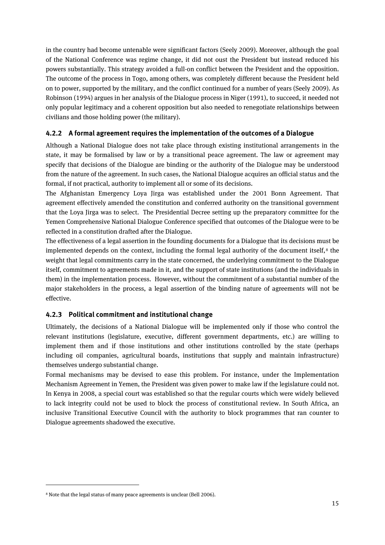in the country had become untenable were significant factors (Seely 2009). Moreover, although the goal of the National Conference was regime change, it did not oust the President but instead reduced his powers substantially. This strategy avoided a full-on conflict between the President and the opposition. The outcome of the process in Togo, among others, was completely different because the President held on to power, supported by the military, and the conflict continued for a number of years (Seely 2009). As Robinson (1994) argues in her analysis of the Dialogue process in Niger (1991), to succeed, it needed not only popular legitimacy and a coherent opposition but also needed to renegotiate relationships between civilians and those holding power (the military).

#### <span id="page-14-0"></span>**4.2.2 A formal agreement requires the implementation of the outcomes of a Dialogue**

Although a National Dialogue does not take place through existing institutional arrangements in the state, it may be formalised by law or by a transitional peace agreement. The law or agreement may specify that decisions of the Dialogue are binding or the authority of the Dialogue may be understood from the nature of the agreement. In such cases, the National Dialogue acquires an official status and the formal, if not practical, authority to implement all or some of its decisions.

The Afghanistan Emergency Loya Jirga was established under the 2001 Bonn Agreement. That agreement effectively amended the constitution and conferred authority on the transitional government that the Loya Jirga was to select. The Presidential Decree setting up the preparatory committee for the Yemen Comprehensive National Dialogue Conference specified that outcomes of the Dialogue were to be reflected in a constitution drafted after the Dialogue.

The effectiveness of a legal assertion in the founding documents for a Dialogue that its decisions must be implemented depends on the context, including the formal legal authority of the document itself, $8$  the weight that legal commitments carry in the state concerned, the underlying commitment to the Dialogue itself, commitment to agreements made in it, and the support of state institutions (and the individuals in them) in the implementation process. However, without the commitment of a substantial number of the major stakeholders in the process, a legal assertion of the binding nature of agreements will not be effective.

#### <span id="page-14-1"></span>**4.2.3 Political commitment and institutional change**

Ultimately, the decisions of a National Dialogue will be implemented only if those who control the relevant institutions (legislature, executive, different government departments, etc.) are willing to implement them and if those institutions and other institutions controlled by the state (perhaps including oil companies, agricultural boards, institutions that supply and maintain infrastructure) themselves undergo substantial change.

Formal mechanisms may be devised to ease this problem. For instance, under the Implementation Mechanism Agreement in Yemen, the President was given power to make law if the legislature could not. In Kenya in 2008, a special court was established so that the regular courts which were widely believed to lack integrity could not be used to block the process of constitutional review. In South Africa, an inclusive Transitional Executive Council with the authority to block programmes that ran counter to Dialogue agreements shadowed the executive.

<span id="page-14-2"></span><sup>8</sup> Note that the legal status of many peace agreements is unclear (Bell 2006).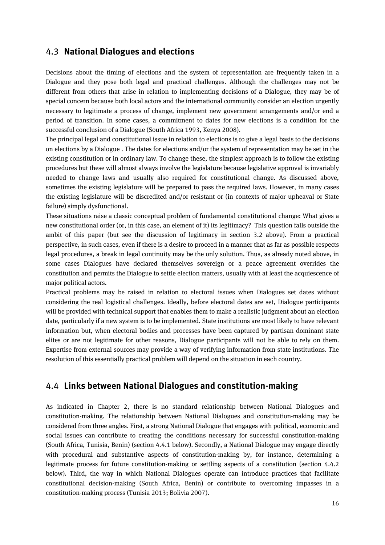#### <span id="page-15-0"></span>4.3 **National Dialogues and elections**

Decisions about the timing of elections and the system of representation are frequently taken in a Dialogue and they pose both legal and practical challenges. Although the challenges may not be different from others that arise in relation to implementing decisions of a Dialogue, they may be of special concern because both local actors and the international community consider an election urgently necessary to legitimate a process of change, implement new government arrangements and/or end a period of transition. In some cases, a commitment to dates for new elections is a condition for the successful conclusion of a Dialogue (South Africa 1993, Kenya 2008).

The principal legal and constitutional issue in relation to elections is to give a legal basis to the decisions on elections by a Dialogue . The dates for elections and/or the system of representation may be set in the existing constitution or in ordinary law. To change these, the simplest approach is to follow the existing procedures but these will almost always involve the legislature because legislative approval is invariably needed to change laws and usually also required for constitutional change. As discussed above, sometimes the existing legislature will be prepared to pass the required laws. However, in many cases the existing legislature will be discredited and/or resistant or (in contexts of major upheaval or State failure) simply dysfunctional.

These situations raise a classic conceptual problem of fundamental constitutional change: What gives a new constitutional order (or, in this case, an element of it) its legitimacy? This question falls outside the ambit of this paper (but see the discussion of legitimacy in section 3.2 above). From a practical perspective, in such cases, even if there is a desire to proceed in a manner that as far as possible respects legal procedures, a break in legal continuity may be the only solution. Thus, as already noted above, in some cases Dialogues have declared themselves sovereign or a peace agreement overrides the constitution and permits the Dialogue to settle election matters, usually with at least the acquiescence of major political actors.

Practical problems may be raised in relation to electoral issues when Dialogues set dates without considering the real logistical challenges. Ideally, before electoral dates are set, Dialogue participants will be provided with technical support that enables them to make a realistic judgment about an election date, particularly if a new system is to be implemented. State institutions are most likely to have relevant information but, when electoral bodies and processes have been captured by partisan dominant state elites or are not legitimate for other reasons, Dialogue participants will not be able to rely on them. Expertise from external sources may provide a way of verifying information from state institutions. The resolution of this essentially practical problem will depend on the situation in each country.

#### <span id="page-15-1"></span>4.4 **Links between National Dialogues and constitution-making**

As indicated in Chapter 2, there is no standard relationship between National Dialogues and constitution-making. The relationship between National Dialogues and constitution-making may be considered from three angles. First, a strong National Dialogue that engages with political, economic and social issues can contribute to creating the conditions necessary for successful constitution-making (South Africa, Tunisia, Benin) (section 4.4.1 below). Secondly, a National Dialogue may engage directly with procedural and substantive aspects of constitution-making by, for instance, determining a legitimate process for future constitution-making or settling aspects of a constitution (section 4.4.2 below). Third, the way in which National Dialogues operate can introduce practices that facilitate constitutional decision-making (South Africa, Benin) or contribute to overcoming impasses in a constitution-making process (Tunisia 2013; Bolivia 2007).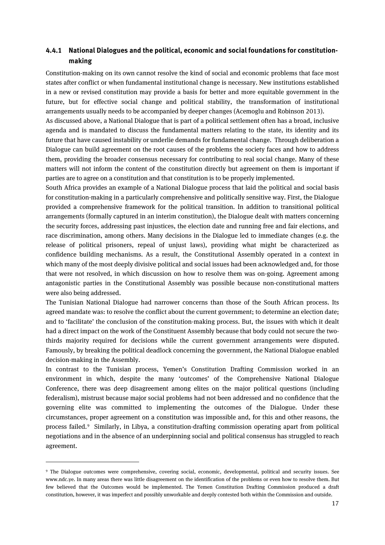#### <span id="page-16-0"></span>**4.4.1 National Dialogues and the political, economic and social foundations for constitutionmaking**

Constitution-making on its own cannot resolve the kind of social and economic problems that face most states after conflict or when fundamental institutional change is necessary. New institutions established in a new or revised constitution may provide a basis for better and more equitable government in the future, but for effective social change and political stability, the transformation of institutional arrangements usually needs to be accompanied by deeper changes [\(Acemoglu](https://www.amazon.co.uk/Daron-Acemoglu/e/B001H6IPC6/ref=dp_byline_cont_book_1) and Robinson 2013).

As discussed above, a National Dialogue that is part of a political settlement often has a broad, inclusive agenda and is mandated to discuss the fundamental matters relating to the state, its identity and its future that have caused instability or underlie demands for fundamental change. Through deliberation a Dialogue can build agreement on the root causes of the problems the society faces and how to address them, providing the broader consensus necessary for contributing to real social change. Many of these matters will not inform the content of the constitution directly but agreement on them is important if parties are to agree on a constitution and that constitution is to be properly implemented.

South Africa provides an example of a National Dialogue process that laid the political and social basis for constitution-making in a particularly comprehensive and politically sensitive way. First, the Dialogue provided a comprehensive framework for the political transition. In addition to transitional political arrangements (formally captured in an interim constitution), the Dialogue dealt with matters concerning the security forces, addressing past injustices, the election date and running free and fair elections, and race discrimination, among others. Many decisions in the Dialogue led to immediate changes (e.g. the release of political prisoners, repeal of unjust laws), providing what might be characterized as confidence building mechanisms. As a result, the Constitutional Assembly operated in a context in which many of the most deeply divisive political and social issues had been acknowledged and, for those that were not resolved, in which discussion on how to resolve them was on-going. Agreement among antagonistic parties in the Constitutional Assembly was possible because non-constitutional matters were also being addressed.

The Tunisian National Dialogue had narrower concerns than those of the South African process. Its agreed mandate was: to resolve the conflict about the current government; to determine an election date; and to 'facilitate' the conclusion of the constitution-making process. But, the issues with which it dealt had a direct impact on the work of the Constituent Assembly because that body could not secure the twothirds majority required for decisions while the current government arrangements were disputed. Famously, by breaking the political deadlock concerning the government, the National Dialogue enabled decision-making in the Assembly.

In contrast to the Tunisian process, Yemen's Constitution Drafting Commission worked in an environment in which, despite the many 'outcomes' of the Comprehensive National Dialogue Conference, there was deep disagreement among elites on the major political questions (including federalism), mistrust because major social problems had not been addressed and no confidence that the governing elite was committed to implementing the outcomes of the Dialogue. Under these circumstances, proper agreement on a constitution was impossible and, for this and other reasons, the process failed.[9](#page-16-1) Similarly, in Libya, a constitution-drafting commission operating apart from political negotiations and in the absence of an underpinning social and political consensus has struggled to reach agreement.

<span id="page-16-1"></span><sup>9</sup> The Dialogue outcomes were comprehensive, covering social, economic, developmental, political and security issues. See www.ndc.ye. In many areas there was little disagreement on the identification of the problems or even how to resolve them. But few believed that the Outcomes would be implemented. The Yemen Constitution Drafting Commission produced a draft constitution, however, it was imperfect and possibly unworkable and deeply contested both within the Commission and outside.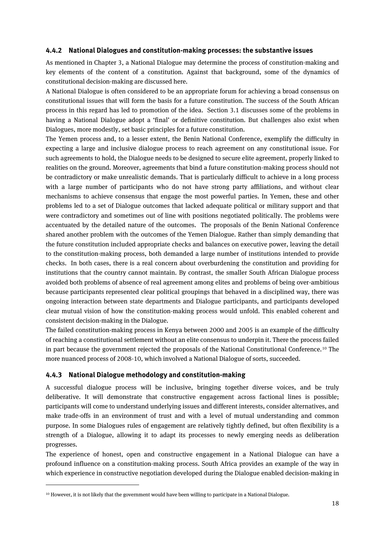#### <span id="page-17-0"></span>**4.4.2 National Dialogues and constitution-making processes: the substantive issues**

As mentioned in Chapter 3, a National Dialogue may determine the process of constitution-making and key elements of the content of a constitution. Against that background, some of the dynamics of constitutional decision-making are discussed here.

A National Dialogue is often considered to be an appropriate forum for achieving a broad consensus on constitutional issues that will form the basis for a future constitution. The success of the South African process in this regard has led to promotion of the idea. Section 3.1 discusses some of the problems in having a National Dialogue adopt a 'final' or definitive constitution. But challenges also exist when Dialogues, more modestly, set basic principles for a future constitution.

The Yemen process and, to a lesser extent, the Benin National Conference, exemplify the difficulty in expecting a large and inclusive dialogue process to reach agreement on any constitutional issue. For such agreements to hold, the Dialogue needs to be designed to secure elite agreement, properly linked to realities on the ground. Moreover, agreements that bind a future constitution-making process should not be contradictory or make unrealistic demands. That is particularly difficult to achieve in a long process with a large number of participants who do not have strong party affiliations, and without clear mechanisms to achieve consensus that engage the most powerful parties. In Yemen, these and other problems led to a set of Dialogue outcomes that lacked adequate political or military support and that were contradictory and sometimes out of line with positions negotiated politically. The problems were accentuated by the detailed nature of the outcomes. The proposals of the Benin National Conference shared another problem with the outcomes of the Yemen Dialogue. Rather than simply demanding that the future constitution included appropriate checks and balances on executive power, leaving the detail to the constitution-making process, both demanded a large number of institutions intended to provide checks. In both cases, there is a real concern about overburdening the constitution and providing for institutions that the country cannot maintain. By contrast, the smaller South African Dialogue process avoided both problems of absence of real agreement among elites and problems of being over-ambitious because participants represented clear political groupings that behaved in a disciplined way, there was ongoing interaction between state departments and Dialogue participants, and participants developed clear mutual vision of how the constitution-making process would unfold. This enabled coherent and consistent decision-making in the Dialogue.

The failed constitution-making process in Kenya between 2000 and 2005 is an example of the difficulty of reaching a constitutional settlement without an elite consensus to underpin it. There the process failed in part because the government rejected the proposals of the National Constitutional Conference.[10](#page-17-2) The more nuanced process of 2008-10, which involved a National Dialogue of sorts, succeeded.

#### <span id="page-17-1"></span>**4.4.3 National Dialogue methodology and constitution-making**

 $\overline{a}$ 

A successful dialogue process will be inclusive, bringing together diverse voices, and be truly deliberative. It will demonstrate that constructive engagement across factional lines is possible; participants will come to understand underlying issues and different interests, consider alternatives, and make trade-offs in an environment of trust and with a level of mutual understanding and common purpose. In some Dialogues rules of engagement are relatively tightly defined, but often flexibility is a strength of a Dialogue, allowing it to adapt its processes to newly emerging needs as deliberation progresses.

The experience of honest, open and constructive engagement in a National Dialogue can have a profound influence on a constitution-making process. South Africa provides an example of the way in which experience in constructive negotiation developed during the Dialogue enabled decision-making in

<span id="page-17-2"></span><sup>10</sup> However, it is not likely that the government would have been willing to participate in a National Dialogue.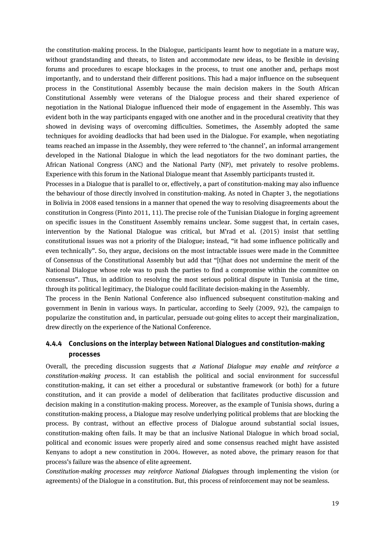the constitution-making process. In the Dialogue, participants learnt how to negotiate in a mature way, without grandstanding and threats, to listen and accommodate new ideas, to be flexible in devising forums and procedures to escape blockages in the process, to trust one another and, perhaps most importantly, and to understand their different positions. This had a major influence on the subsequent process in the Constitutional Assembly because the main decision makers in the South African Constitutional Assembly were veterans of the Dialogue process and their shared experience of negotiation in the National Dialogue influenced their mode of engagement in the Assembly. This was evident both in the way participants engaged with one another and in the procedural creativity that they showed in devising ways of overcoming difficulties. Sometimes, the Assembly adopted the same techniques for avoiding deadlocks that had been used in the Dialogue. For example, when negotiating teams reached an impasse in the Assembly, they were referred to 'the channel', an informal arrangement developed in the National Dialogue in which the lead negotiators for the two dominant parties, the African National Congress (ANC) and the National Party (NP), met privately to resolve problems. Experience with this forum in the National Dialogue meant that Assembly participants trusted it.

Processes in a Dialogue that is parallel to or, effectively, a part of constitution-making may also influence the behaviour of those directly involved in constitution-making. As noted in Chapter 3, the negotiations in Bolivia in 2008 eased tensions in a manner that opened the way to resolving disagreements about the constitution in Congress (Pinto 2011, 11). The precise role of the Tunisian Dialogue in forging agreement on specific issues in the Constituent Assembly remains unclear. Some suggest that, in certain cases, intervention by the National Dialogue was critical, but M'rad et al. (2015) insist that settling constitutional issues was not a priority of the Dialogue; instead, "it had some influence politically and even technically". So, they argue, decisions on the most intractable issues were made in the Committee of Consensus of the Constitutional Assembly but add that "[t]hat does not undermine the merit of the National Dialogue whose role was to push the parties to find a compromise within the committee on consensus". Thus, in addition to resolving the most serious political dispute in Tunisia at the time, through its political legitimacy, the Dialogue could facilitate decision-making in the Assembly.

The process in the Benin National Conference also influenced subsequent constitution-making and government in Benin in various ways. In particular, according to Seely (2009, 92), the campaign to popularize the constitution and, in particular, persuade out-going elites to accept their marginalization, drew directly on the experience of the National Conference.

#### <span id="page-18-0"></span>**4.4.4 Conclusions on the interplay between National Dialogues and constitution-making processes**

Overall, the preceding discussion suggests that *a National Dialogue may enable and reinforce a constitution-making process*. It can establish the political and social environment for successful constitution-making, it can set either a procedural or substantive framework (or both) for a future constitution, and it can provide a model of deliberation that facilitates productive discussion and decision making in a constitution-making process. Moreover, as the example of Tunisia shows, during a constitution-making process, a Dialogue may resolve underlying political problems that are blocking the process. By contrast, without an effective process of Dialogue around substantial social issues, constitution-making often fails. It may be that an inclusive National Dialogue in which broad social, political and economic issues were properly aired and some consensus reached might have assisted Kenyans to adopt a new constitution in 2004. However, as noted above, the primary reason for that process's failure was the absence of elite agreement.

*Constitution-making processes may reinforce National Dialogues* through implementing the vision (or agreements) of the Dialogue in a constitution. But, this process of reinforcement may not be seamless.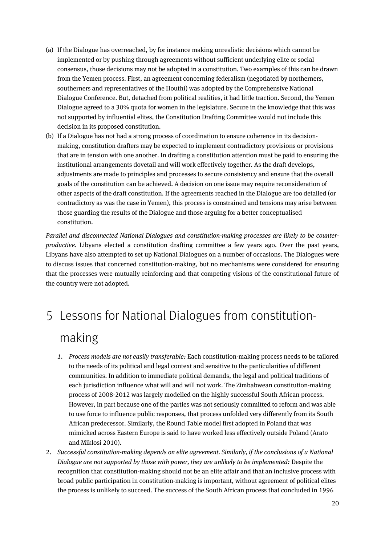- (a) If the Dialogue has overreached, by for instance making unrealistic decisions which cannot be implemented or by pushing through agreements without sufficient underlying elite or social consensus, those decisions may not be adopted in a constitution. Two examples of this can be drawn from the Yemen process. First, an agreement concerning federalism (negotiated by northerners, southerners and representatives of the Houthi) was adopted by the Comprehensive National Dialogue Conference. But, detached from political realities, it had little traction. Second, the Yemen Dialogue agreed to a 30% quota for women in the legislature. Secure in the knowledge that this was not supported by influential elites, the Constitution Drafting Committee would not include this decision in its proposed constitution.
- (b) If a Dialogue has not had a strong process of coordination to ensure coherence in its decisionmaking, constitution drafters may be expected to implement contradictory provisions or provisions that are in tension with one another. In drafting a constitution attention must be paid to ensuring the institutional arrangements dovetail and will work effectively together. As the draft develops, adjustments are made to principles and processes to secure consistency and ensure that the overall goals of the constitution can be achieved. A decision on one issue may require reconsideration of other aspects of the draft constitution. If the agreements reached in the Dialogue are too detailed (or contradictory as was the case in Yemen), this process is constrained and tensions may arise between those guarding the results of the Dialogue and those arguing for a better conceptualised constitution.

*Parallel and disconnected National Dialogues and constitution-making processes are likely to be counterproductive*. Libyans elected a constitution drafting committee a few years ago. Over the past years, Libyans have also attempted to set up National Dialogues on a number of occasions. The Dialogues were to discuss issues that concerned constitution-making, but no mechanisms were considered for ensuring that the processes were mutually reinforcing and that competing visions of the constitutional future of the country were not adopted.

## <span id="page-19-0"></span>5 Lessons for National Dialogues from constitutionmaking

- *1. Process models are not easily transferable:* Each constitution-making process needs to be tailored to the needs of its political and legal context and sensitive to the particularities of different communities. In addition to immediate political demands, the legal and political traditions of each jurisdiction influence what will and will not work. The Zimbabwean constitution-making process of 2008-2012 was largely modelled on the highly successful South African process. However, in part because one of the parties was not seriously committed to reform and was able to use force to influence public responses, that process unfolded very differently from its South African predecessor. Similarly, the Round Table model first adopted in Poland that was mimicked across Eastern Europe is said to have worked less effectively outside Poland (Arato and Miklosi 2010).
- 2. *Successful constitution-making depends on elite agreement. Similarly, if the conclusions of a National Dialogue are not supported by those with power, they are unlikely to be implemented:* Despite the recognition that constitution-making should not be an elite affair and that an inclusive process with broad public participation in constitution-making is important, without agreement of political elites the process is unlikely to succeed. The success of the South African process that concluded in 1996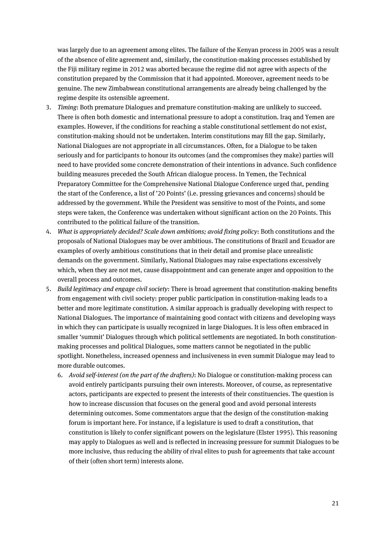was largely due to an agreement among elites. The failure of the Kenyan process in 2005 was a result of the absence of elite agreement and, similarly, the constitution-making processes established by the Fiji military regime in 2012 was aborted because the regime did not agree with aspects of the constitution prepared by the Commission that it had appointed. Moreover, agreement needs to be genuine. The new Zimbabwean constitutional arrangements are already being challenged by the regime despite its ostensible agreement.

- 3. *Timing*: Both premature Dialogues and premature constitution-making are unlikely to succeed. There is often both domestic and international pressure to adopt a constitution. Iraq and Yemen are examples. However, if the conditions for reaching a stable constitutional settlement do not exist, constitution-making should not be undertaken. Interim constitutions may fill the gap. Similarly, National Dialogues are not appropriate in all circumstances. Often, for a Dialogue to be taken seriously and for participants to honour its outcomes (and the compromises they make) parties will need to have provided some concrete demonstration of their intentions in advance. Such confidence building measures preceded the South African dialogue process. In Yemen, the Technical Preparatory Committee for the Comprehensive National Dialogue Conference urged that, pending the start of the Conference, a list of '20 Points' (i.e. pressing grievances and concerns) should be addressed by the government. While the President was sensitive to most of the Points, and some steps were taken, the Conference was undertaken without significant action on the 20 Points. This contributed to the political failure of the transition.
- 4. *What is appropriately decided? Scale down ambitions; avoid fixing policy*: Both constitutions and the proposals of National Dialogues may be over ambitious. The constitutions of Brazil and Ecuador are examples of overly ambitious constitutions that in their detail and promise place unrealistic demands on the government. Similarly, National Dialogues may raise expectations excessively which, when they are not met, cause disappointment and can generate anger and opposition to the overall process and outcomes.
- <span id="page-20-0"></span>5. *Build legitimacy and engage civil society*: There is broad agreement that constitution-making benefits from engagement with civil society: proper public participation in constitution-making leads to a better and more legitimate constitution. A similar approach is gradually developing with respect to National Dialogues. The importance of maintaining good contact with citizens and developing ways in which they can participate is usually recognized in large Dialogues. It is less often embraced in smaller 'summit' Dialogues through which political settlements are negotiated. In both constitutionmaking processes and political Dialogues, some matters cannot be negotiated in the public spotlight. Nonetheless, increased openness and inclusiveness in even summit Dialogue may lead to more durable outcomes.
	- 6. *Avoid self-interest (on the part of the drafters)*: No Dialogue or constitution-making process can avoid entirely participants pursuing their own interests. Moreover, of course, as representative actors, participants are expected to present the interests of their constituencies. The question is how to increase discussion that focuses on the general good and avoid personal interests determining outcomes. Some commentators argue that the design of the constitution-making forum is important here. For instance, if a legislature is used to draft a constitution, that constitution is likely to confer significant powers on the legislature (Elster 1995). This reasoning may apply to Dialogues as well and is reflected in increasing pressure for summit Dialogues to be more inclusive, thus reducing the ability of rival elites to push for agreements that take account of their (often short term) interests alone.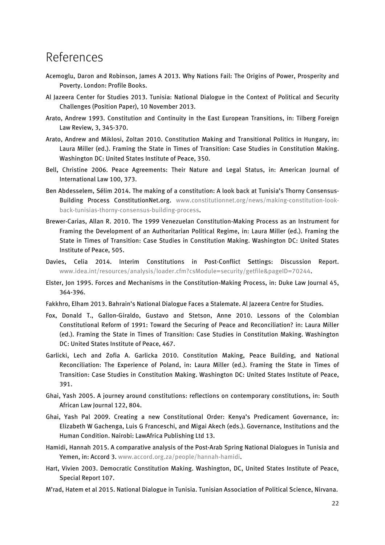### References

- Acemoglu, Daron and Robinson, James A 2013. Why Nations Fail: The Origins of Power, Prosperity and Poverty. London: Profile Books.
- Al Jazeera Center for Studies 2013. Tunisia: National Dialogue in the Context of Political and Security Challenges (Position Paper), 10 November 2013.
- Arato, Andrew 1993. Constitution and Continuity in the East European Transitions, in: Tilberg Foreign Law Review, 3, 345-370.
- Arato, Andrew and Miklosi, Zoltan 2010. Constitution Making and Transitional Politics in Hungary, in: Laura Miller (ed.). Framing the State in Times of Transition: Case Studies in Constitution Making. Washington DC: United States Institute of Peace, 350.
- Bell, Christine 2006. Peace Agreements: Their Nature and Legal Status, in: American Journal of International Law 100, 373.
- Ben Abdesselem, Sélim 2014. The making of a constitution: A look back at Tunisia's Thorny Consensus-Building Process ConstitutionNet.org. [www.constitutionnet.org/news/making-constitution-look](http://www.constitutionnet.org/news/making-constitution-look-back-tunisias-thorny-consensus-building-process)[back-tunisias-thorny-consensus-building-process.](http://www.constitutionnet.org/news/making-constitution-look-back-tunisias-thorny-consensus-building-process)
- Brewer-Carias, Allan R. 2010. The 1999 Venezuelan Constitution-Making Process as an Instrument for Framing the Development of an Authoritarian Political Regime, in: Laura Miller (ed.). Framing the State in Times of Transition: Case Studies in Constitution Making. Washington DC: United States Institute of Peace, 505.
- Davies, Celia 2014. Interim Constitutions in Post-Conflict Settings: Discussion Report. [www.idea.int/resources/analysis/loader.cfm?csModule=security/getfile&pageID=70244.](http://www.idea.int/resources/analysis/loader.cfm?csModule=security/getfile&pageID=70244)
- Elster, Jon 1995. Forces and Mechanisms in the Constitution-Making Process, in: Duke Law Journal 45, 364-396.
- Fakkhro, Elham 2013. Bahrain's National Dialogue Faces a Stalemate. Al Jazeera Centre for Studies.
- Fox, Donald T., Gallon-Giraldo, Gustavo and Stetson, Anne 2010. Lessons of the Colombian Constitutional Reform of 1991: Toward the Securing of Peace and Reconciliation? in: Laura Miller (ed.). Framing the State in Times of Transition: Case Studies in Constitution Making. Washington DC: United States Institute of Peace, 467.
- Garlicki, Lech and Zofia A. Garlicka 2010. Constitution Making, Peace Building, and National Reconciliation: The Experience of Poland, in: Laura Miller (ed.). Framing the State in Times of Transition: Case Studies in Constitution Making. Washington DC: United States Institute of Peace, 391.
- Ghai, Yash 2005. A journey around constitutions: reflections on contemporary constitutions, in: South African Law Journal 122, 804.
- Ghai, Yash Pal 2009. Creating a new Constitutional Order: Kenya's Predicament Governance, in: [Elizabeth W Gachenga,](https://www.amazon.com/s/ref=dp_byline_sr_book_1?ie=UTF8&text=Elizabeth+W.+Gachenga&search-alias=books&field-author=Elizabeth+W.+Gachenga&sort=relevancerank) [Luis G Franceschi,](https://www.amazon.com/s/ref=dp_byline_sr_book_2?ie=UTF8&text=Luis+G.+Franceschi&search-alias=books&field-author=Luis+G.+Franceschi&sort=relevancerank) and [Migai Akech](https://www.amazon.com/s/ref=dp_byline_sr_book_3?ie=UTF8&text=Migai+Akech&search-alias=books&field-author=Migai+Akech&sort=relevancerank) (eds.). Governance, Institutions and the Human Condition. Nairobi: LawAfrica Publishing Ltd 13.
- Hamidi, Hannah 2015. A comparative analysis of the Post-Arab Spring National Dialogues in Tunisia and Yemen, in: Accord 3. [www.accord.org.za/people/hannah-hamidi.](http://www.accord.org.za/people/hannah-hamidi)
- Hart, Vivien 2003. Democratic Constitution Making. Washington, DC, United States Institute of Peace, Special Report 107.
- M'rad, Hatem et al 2015. National Dialogue in Tunisia. Tunisian Association of Political Science, Nirvana.